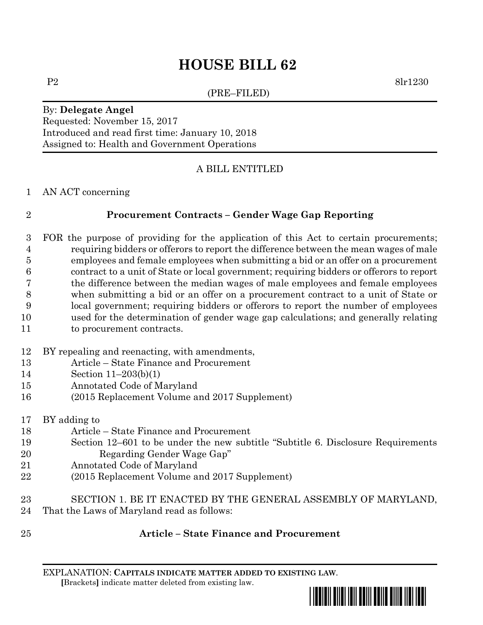# **HOUSE BILL 62**

(PRE–FILED)

P2 8lr1230

### By: **Delegate Angel** Requested: November 15, 2017 Introduced and read first time: January 10, 2018 Assigned to: Health and Government Operations

# A BILL ENTITLED

### AN ACT concerning

# **Procurement Contracts – Gender Wage Gap Reporting**

- FOR the purpose of providing for the application of this Act to certain procurements; requiring bidders or offerors to report the difference between the mean wages of male employees and female employees when submitting a bid or an offer on a procurement contract to a unit of State or local government; requiring bidders or offerors to report the difference between the median wages of male employees and female employees when submitting a bid or an offer on a procurement contract to a unit of State or local government; requiring bidders or offerors to report the number of employees used for the determination of gender wage gap calculations; and generally relating to procurement contracts.
- BY repealing and reenacting, with amendments,
- Article State Finance and Procurement
- Section 11–203(b)(1)
- Annotated Code of Maryland
- (2015 Replacement Volume and 2017 Supplement)
- BY adding to
- Article State Finance and Procurement
- Section 12–601 to be under the new subtitle "Subtitle 6. Disclosure Requirements Regarding Gender Wage Gap"
- Annotated Code of Maryland
- (2015 Replacement Volume and 2017 Supplement)
- SECTION 1. BE IT ENACTED BY THE GENERAL ASSEMBLY OF MARYLAND, That the Laws of Maryland read as follows:
- 

# **Article – State Finance and Procurement**

EXPLANATION: **CAPITALS INDICATE MATTER ADDED TO EXISTING LAW**.  **[**Brackets**]** indicate matter deleted from existing law.

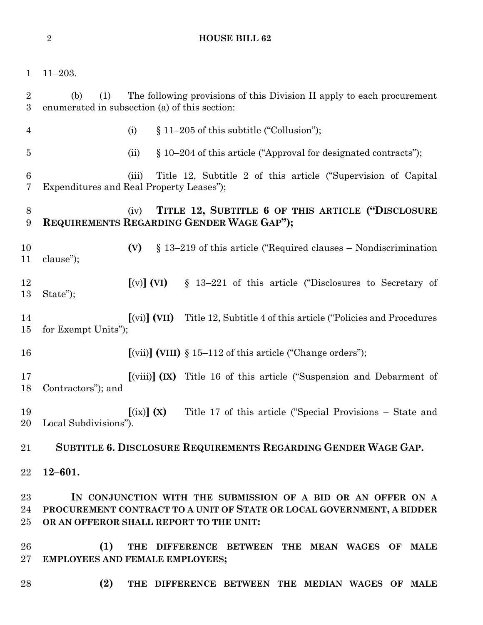### **HOUSE BILL 62**

|  | $1\hbox{--}203.$ |
|--|------------------|
|  |                  |

 (b) (1) The following provisions of this Division II apply to each procurement enumerated in subsection (a) of this section: 4 (i)  $§ 11-205$  of this subtitle ("Collusion"); (ii) § 10–204 of this article ("Approval for designated contracts"); (iii) Title 12, Subtitle 2 of this article ("Supervision of Capital Expenditures and Real Property Leases"); (iv) **TITLE 12, SUBTITLE 6 OF THIS ARTICLE ("DISCLOSURE REQUIREMENTS REGARDING GENDER WAGE GAP"); (V)** § 13–219 of this article ("Required clauses – Nondiscrimination clause"); **[**(v)**] (VI)** § 13–221 of this article ("Disclosures to Secretary of State"); **[**(vi)**] (VII)** Title 12, Subtitle 4 of this article ("Policies and Procedures for Exempt Units"); **[**(vii)**] (VIII)** § 15–112 of this article ("Change orders"); **[**(viii)**] (IX)** Title 16 of this article ("Suspension and Debarment of Contractors"); and **[**(ix)**] (X)** Title 17 of this article ("Special Provisions – State and Local Subdivisions"). **SUBTITLE 6. DISCLOSURE REQUIREMENTS REGARDING GENDER WAGE GAP. 12–601. IN CONJUNCTION WITH THE SUBMISSION OF A BID OR AN OFFER ON A PROCUREMENT CONTRACT TO A UNIT OF STATE OR LOCAL GOVERNMENT, A BIDDER OR AN OFFEROR SHALL REPORT TO THE UNIT: (1) THE DIFFERENCE BETWEEN THE MEAN WAGES OF MALE EMPLOYEES AND FEMALE EMPLOYEES;**

- 
- **(2) THE DIFFERENCE BETWEEN THE MEDIAN WAGES OF MALE**